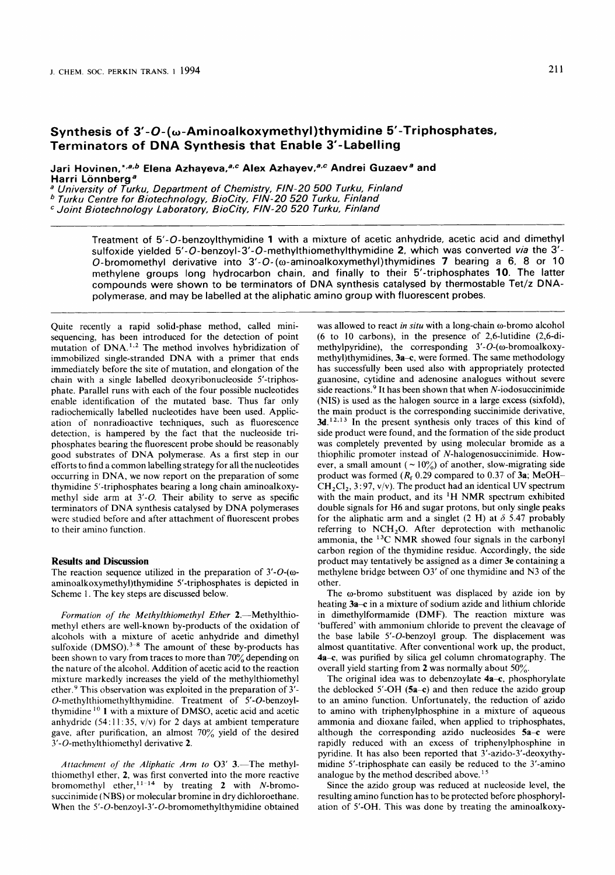# Synthesis of 3'-O-(w-Aminoalkoxymethyl)thymidine 5'-Triphosphates, **Terminators of DNA Synthesis that Enable 3'-Labelling**

Jari Hovinen, \*,a,b Elena Azhayeva, a,c Alex Azhayev, a,c Andrei Guzaev<sup>a</sup> and Harri Lönnberg<sup>a</sup>

*<sup>a</sup>University of Turku, Department of Chemistry, FIN-20 500 Turku, Finland Turku Centre for Biotechnology, BioCity, FIN-20 520 Turku, Finland* 

*Joint Biotechnology Laboratory, BioCity, FIN-20 520 Turku, Finland* 

**Treatment of 5'-0-benzoylthymidine 1 with a mixture of acetic anhydride, acetic acid and dimethyl sulfoxide yielded** 5'-0-benzoyl-3'-0-methylthiomethylthymidine **2, which was converted** *via* **the 3'- 0-bromomethyl derivative into 3'-0- (a-aminoalkoxymethyl)thymidines 7 bearing a 6, 8 or** 10 **methylene groups long hydrocarbon chain, and finally to their 5'-triphosphates 10. The latter compounds were shown to be terminators of DNA synthesis catalysed by thermostable Tet/z DNApolymerase, and may be labelled at the aliphatic amino group with fluorescent probes.** 

Quite recently a rapid solid-phase method, called minisequencing, has been introduced for the detection of point mutation of  $DNA<sup>1,2</sup>$ . The method involves hybridization of immobilized single-stranded DNA with a primer that ends immediately before the site of mutation, and elongation of the chain with a single labelled deoxyribonucleoside 5'-triphosphate. Parallel runs with each of the four possible nucleotides enable identification of the mutated base. Thus far only radiochemically labelled nucleotides have been used. Application of nonradioactive techniques, such as fluorescence detection, is hampered by the fact that the nucleoside triphosphates bearing the fluorescent probe should be reasonably good substrates of DNA polymerase. As a first step in our efforts to find a common labelling strategy for all the nucleotides occurring in DNA, we now report on the preparation of some thymidine 5'-triphosphates bearing a long chain aminoalkoxymethyl side arm at 3'-0. Their ability to serve as specific terminators of DNA synthesis catalysed by DNA polymerases were studied before and after attachment of fluorescent probes to their amino function.

#### **Results and Discussion**

The reaction sequence utilized in the preparation of  $3'-O$ -( $\omega$ **aminoalkoxymethy1)thymidine** 5'-triphosphates is depicted in Scheme 1. The key steps are discussed below.

*Formation of the Methylthiomethyl Ether 2.*-Methylthiomethyl ethers are well-known by-products of the oxidation of alcohols with a mixture of acetic anhydride and dimethyl sulfoxide  $(DMSO).$ <sup>3-8</sup> The amount of these by-products has been shown to vary from traces to more than 70% depending on the nature of the alcohol. Addition of acetic acid to the reaction mixture markedly increases the yield of the methylthiomethyl ether.<sup>9</sup> This observation was exploited in the preparation of 3'-**0-methylthiomethylthymidine.** Treatment of 5'-0-benzoylthymidine <sup>10</sup> 1 with a mixture of DMSO, acetic acid and acetic anhydride (54:11:35, v/v) for 2 days at ambient temperature gave. after purification, an almost 70% yield of the desired 3'-O-methylthiomethyl derivative **2.** 

*Attachment of the Aliphatic Arm to* 03' 3.-The methylthiomethyl ether, **2,** was first converted into the more reactive bromomethyl ether,<sup>11-14</sup> by treating 2 with N-bromosuccinimide (NBS) or molecular bromine in dry dichloroethane. When the **5'-0-benzoyl-3'-0-bromomethylthymidine** obtained was allowed to react *in situ* with a long-chain o-bromo alcohol (6 to 10 carbons), in the presence of 2,6-lutidine (2,6-dimethylpyridine), the corresponding 3'-O-( $\omega$ -bromoalkoxymethyl)thymidines, 3a-c, were formed. The same methodology has successfully been used also with appropriately protected guanosine, cytidine and adenosine analogues without severe side reactions. $9$  It has been shown that when N-iodosuccinimide (NIS) is used as the halogen source in a large excess (sixfold), the main product is the corresponding succinimide derivative, 3d.<sup>12,13</sup> In the present synthesis only traces of this kind of side product were found, and the formation of the side product was completely prevented by using molecular bromide as a thiophilic promoter instead of N-halogenosuccinimide. However, a small amount ( $\sim 10\%$ ) of another, slow-migrating side product was formed *(Rf* 0.29 compared to 0.37 of **3a;** MeOH- $CH<sub>2</sub>Cl<sub>2</sub>, 3:97, v/v$ ). The product had an identical UV spectrum with the main product, and its 'H NMR spectrum exhibited double signals for H6 and sugar protons, but only single peaks for the aliphatic arm and a singlet (2 H) at  $\delta$  5.47 probably referring to NCH<sub>2</sub>O. After deprotection with methanolic ammonia, the 13C NMR showed four signals in the carbonyl carbon region of the thymidine residue. Accordingly, the side product may tentatively be assigned as a dimer **3e** containing a methylene bridge between 03' of one thymidine and N3 of the other.

The  $\omega$ -bromo substituent was displaced by azide ion by heating **3a-c** in a mixture of sodium azide and lithium chloride in dimethylformamide (DMF). The reaction mixture was 'buffered' with ammonium chloride to prevent the cleavage of the base labile 5'-0-benzoyl group. The displacement was almost quantitative. After conventional work up, the product, **4a-c,** was purified by silica gel column chromatography. The overall yield starting from 2 was normally about 50%.

The original idea was to debenzoylate **4a–c**, phosphorylate the deblocked 5'-OH (5a-c) and then reduce the azido group to an amino function. Unfortunately, the reduction of azido to amino with triphenylphosphine in a mixture of aqueous ammonia and dioxane failed, when applied to triphosphates, although the corresponding azido nucleosides 5a-c were rapidly reduced with an excess of triphenylphosphine in pyridine. It has also been reported that 3'-azido-3'-deoxythymidine 5'-triphosphate can easily be reduced to the 3'-amino analogue by the method described above.<sup>15</sup>

Since the azido group was reduced at nucleoside level, the resulting amino function has to be protected before phosphorylation of 5'-OH. This was done by treating the aminoalkoxy-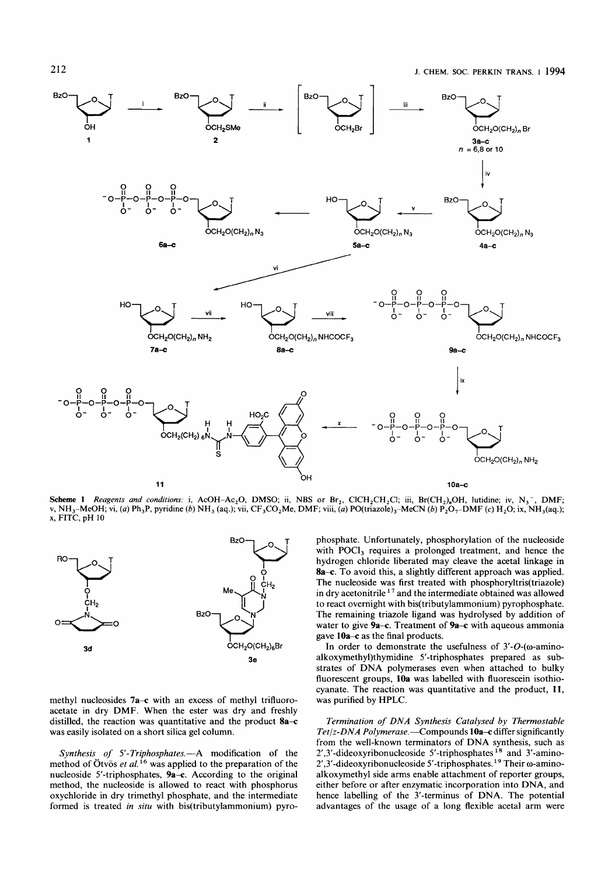

**Scheme 1** Reagents and conditions: i, AcOH-Ac<sub>2</sub>O, DMSO; ii, NBS or Br<sub>2</sub>, ClCH<sub>2</sub>CH<sub>2</sub>Cl; iii, Br(CH<sub>2</sub>)<sub>n</sub>OH, lutidine; iv, N<sub>3</sub><sup>-</sup>, DMF; v, NH3-MeOH; **vi,** *(a)* Ph,P, pyridine *(b)* NH, (as.); vii, CF,CO,Me, DMF; viii, *(a)* PO(triazole),-MeCN (b) P,O,-DMF **(c) H,O;** ix, NH,(aq.); **x,** FITC, pH 10



methyl nucleosides **7a-c** with an excess of methyl trifluoroacetate in dry DMF. When the ester was dry and freshly distilled, the reaction was quantitative and the product **8a-c**  was easily isolated on a short silica gel column.

Synthesis of 5'-Triphosphates.-A modification of the method of Otvös et al.<sup>16</sup> was applied to the preparation of the nucleoside 5'-triphosphates, **9a-c.** According to the original method, the nucleoside is allowed to react with phosphorus oxychloride in dry trimethyl phosphate, and the intermediate formed is treated in situ with bis(tributylammonium) pyrophosphate. Unfortunately, phosphorylation of the nucleoside with POCl<sub>3</sub> requires a prolonged treatment, and hence the hydrogen chloride liberated may cleave the acetal linkage in **8a-c.** To avoid this, a slightly different approach was applied. The nucleoside was first treated with **phosphoryltris(triazo1e)**  in dry acetonitrile  $17$  and the intermediate obtained was allowed to react overnight with bis(tributy1ammonium) pyrophosphate. The remaining triazole ligand was hydrolysed by addition of water to give **9a-c.** Treatment of **9a-c** with aqueous ammonia gave 10a-c as the final products.

In order to demonstrate the usefulness of  $3'-O$ -( $\omega$ -aminoalkoxymethy1)thymidine 5'-triphosphates prepared as substrates of DNA polymerases even when attached to bulky fluorescent groups, **10a** was labelled with fluorescein isothiocyanate. The reaction was quantitative and the product, **11,**  was purified by HPLC.

Termination *of* DNA Synthesis Catalysed by Thermostable Tet/z-DNA Polymerase.—Compounds 10a-c differ significantly from the well-known terminators of DNA synthesis, such as 2',3'-dideoxyribonucleoside 5'-triphosphates<sup>18</sup> and 3'-amino-2',3'-dideoxyribonucleoside 5'-triphosphates.<sup>19</sup> Their  $\omega$ -aminoalkoxymethyl side arms enable attachment of reporter groups, either before or after enzymatic incorporation into DNA, and hence labelling of the 3'-terminus of DNA. The potential advantages of the usage of a long flexible acetal arm were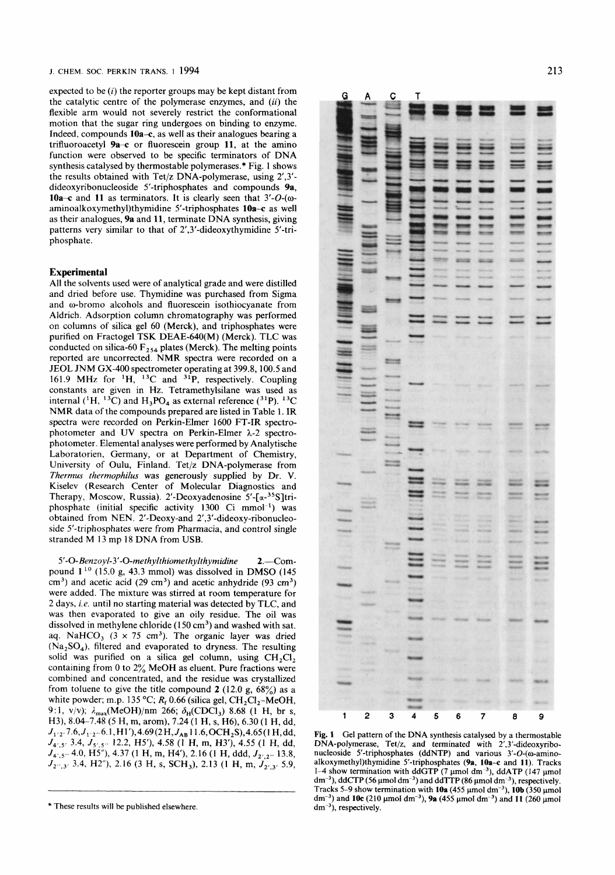J. CHEM. *SOC.* PERKIN TRANS. **1** 1994 **213** 

expected to be *(i)* the reporter groups may be kept distant from the catalytic centre of the polymerase enzymes, and *(ii)* the flexible arm would not severely restrict the conformational motion that the sugar ring undergoes on binding to enzyme. Indeed, compounds **lOa-c,** as well as their analogues bearing a trifluoroacetyl **9a-c** or fluorescein group **11,** at the amino function were observed to be specific terminators of DNA synthesis catalysed by thermostable polymerases.\* Fig. 1 shows the results obtained with Tet/z DNA-polymerase, using 2',3' dideoxyribonucleoside 5'-triphosphates and compounds **9a, 10a-c** and **11** as terminators. It is clearly seen that  $3'-O$ - $(\omega$ **aminoalkoxymethy1)thymidine** 5'-triphosphates **10a-c** as well as their analogues, **9a** and **11,** terminate DNA synthesis, giving patterns very similar to that of 2',3'-dideoxythymidine 5'-triphosphate.

# **Experimental**

All the solvents used were of analytical grade and were distilled and dried before use. Thymidine was purchased from Sigma and o-bromo alcohols and fluorescein isothiocyanate from Aldrich. Adsorption column chromatography was performed on columns of silica gel 60 (Merck), and triphosphates were purified on Fractogel TSK DEAE-640(M) (Merck). TLC was conducted on silica-60  $F_{254}$  plates (Merck). The melting points reported are uncorrected. NMR spectra were recorded on a JEOL JNM GX-400 spectrometer operating at 399.8, 100.5 and 161.9 **MHz** for 'H, I3C and **31P,** respectively. Coupling constants are given in Hz. Tetramethylsilane was used as internal ( ${}^{1}H$ ,  ${}^{13}C$ ) and  $H_{3}PO_{4}$  as external reference ( ${}^{31}P$ ).  ${}^{13}C$ NMR data of the compounds prepared are listed in Table 1. IR spectra were recorded on Perkin-Elmer 1600 FT-IR spectrophotometer and UV spectra on Perkin-Elmer λ-2 spectrophotometer. Elemental analyses were performed by Analytische Laboratorien, Germany, or at Department of Chemistry, University of Oulu, Finland. Tet/z DNA-polymerase from *Therrnus therrnophilus* was generously supplied **by** Dr. **V.**  Kiselev (Research Center of Molecular Diagnostics and Therapy, Moscow, Russia). 2'-Deoxyadenosine 5'-[a-35S]triphosphate (initial specific activity  $1300$  Ci mmol<sup>-1</sup>) was obtained from NEN. 2'-Deoxy-and **2',3'-dideoxy-ribonucleo**side 5'-triphosphates were from Pharmacia, and control single stranded M 13 mp 18 DNA from **USB.** 

*5'-0-Benzoyl-3'-O-methylthiomethylthymidine* 2.-Compound **1** lo (1 5.0 **g,** 43.3 mmol) was dissolved in **DMSO** (145  $\text{cm}^3$ ) and acetic acid (29 cm<sup>3</sup>) and acetic anhydride (93 cm<sup>3</sup>) were added. The mixture was stirred at room temperature for **2** days, *i.e.* until no starting material was detected by TLC, and was then evaporated to give an oily residue. The oil was dissolved in methylene chloride  $(150 \text{ cm}^3)$  and washed with sat. aq. NaHCO<sub>3</sub>  $(3 \times 75 \text{ cm}^3)$ . The organic layer was dried  $(Na<sub>2</sub>SO<sub>4</sub>)$ , filtered and evaporated to dryness. The resulting solid was purified on a silica gel column, using  $CH_2Cl_2$ . containing from 0 to  $2\%$  MeOH as eluent. Pure fractions were combined and concentrated, and the residue was crystallized from toluene to give the title compound 2 (12.0 g,  $68\%$ ) as a white powder; m.p. 135 °C;  $R_f$  0.66 (silica gel,  $CH_2Cl_2$ -MeOH, 9:1, v/v);  $\lambda_{\text{max}}$ (MeOH)/nm 266;  $\delta_{\text{H}}$ (CDCl<sub>3</sub>) 8.68 (1 H, br s, H3), 8.04-7.48 *(5* H, m, arom), 7.24 (1 **H,** s, H6), 6.30 (1 H, dd, *J,* **,2,** 7.6, *J,* **,2,f** 6.1, H 1 '),4.69 (2 **H,J,, 1** 1.6, OCH2S),4.65( **1** H, dd, *J<sub>4',5'</sub>* 3.4, *J<sub>5',5'</sub>* 12.2, H5'), 4.58 (1 H, m, H3'), 4.55 (1 H, dd, *J<sub>4',5''</sub>* 4.0, *H5''*), 4.37 (1 H, m, H4'), 2.16 (1 H, ddd, *J<sub>2',2'</sub>*, 13.8, *J2,r,3r* 3.4, H2"), 2.16 (3 H, s, SCH,), 2.13 **(I** H, m, *J2,,3\** 5.9,



Fig. 1 Gel pattern of the DNA synthesis catalysed by a thermostable DNA-polymerase, Tet/z, and terminated with 2',3'-dideoxyribonucleoside 5'-triphosphates (ddNTP) and various  $3'-O$ - $(\omega$ -aminoalkoxymethy1)thymidine 5'-triphosphates **(9a, 1Oa-c** and **11).** Tracks 1-4 show termination with ddGTP (7 pmol **dm-3),** ddATP (I47 pmol dm<sup>-3</sup>), ddCTP (56 µmol dm<sup>-3</sup>) and ddTTP (86 µmol dm<sup>-3</sup>), respectively. Tracks 5-9 show termination with  $10a$  (455  $\mu$ mol dm<sup>-3</sup>),  $10b$  (350  $\mu$ mol dm<sup>-3</sup>) and **10c** (210 µmol dm<sup>-3</sup>), **9a** (455 µmol dm<sup>-3</sup>) and **11** (260 µmol  $dm^{-3}$ , respectively.

<sup>\*</sup> These results will be published elsewhere.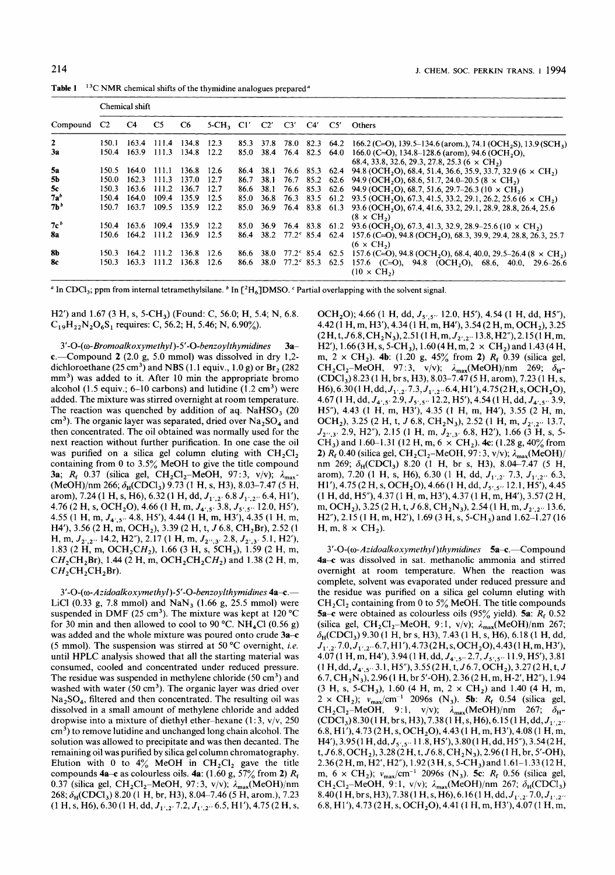Table 1 <sup>13</sup>C NMR chemical shifts of the thymidine analogues prepared<sup>a</sup>

| Compound C <sub>2</sub> | Chemical shift |       |       |       |                           |      |             |  |  |                          |                                                                                                                                 |  |  |
|-------------------------|----------------|-------|-------|-------|---------------------------|------|-------------|--|--|--------------------------|---------------------------------------------------------------------------------------------------------------------------------|--|--|
|                         |                | C4    | C5    | C6    | 5-CH, Cl' C2' C3' C4' C5' |      |             |  |  |                          | Others                                                                                                                          |  |  |
| $\mathbf{z}$            | 150.1          | 163.4 | 111.4 | 134.8 | 12.3                      |      |             |  |  | 85.3 37.8 78.0 82.3 64.2 | 166.2 (C=O), 139.5–134.6 (arom.), 74.1 (OCH <sub>2</sub> S), 13.9 (SCH <sub>3</sub> )                                           |  |  |
| 3a                      | 150.4          | 163.9 | 111.3 | 134.8 | 12.2                      | 85.0 |             |  |  | 38.4 76.4 82.5 64.0      | 166.0 (C=O), 134.8–128.6 (arom), 94.6 (OCH <sub>2</sub> O),<br>68.4, 33.8, 32.6, 29.3, 27.8, 25.3 (6 $\times$ CH <sub>2</sub> ) |  |  |
| 5a                      | 150.5          | 164.0 | 111.1 | 136.8 | 12.6                      | 86.4 | 38.1        |  |  |                          | 76.6 85.3 62.4 94.8 (OCH <sub>2</sub> O), 68.4, 51.4, 36.6, 35.9, 33.7, 32.9 (6 $\times$ CH <sub>2</sub> )                      |  |  |
| 5b                      | 150.0          | 162.3 | 111.3 | 137.0 | 12.7                      | 86.7 | 38.1        |  |  |                          | 76.7 85.2 62.6 94.9 (OCH <sub>2</sub> O), 68.6, 51.7, 24.0–20.5 (8 $\times$ CH <sub>2</sub> )                                   |  |  |
| 5с                      | 150.3          | 163.6 | 111.2 | 136.7 | 12.7                      | 86.6 | 38.1        |  |  |                          | 76.6 85.3 62.6 94.9 (OCH <sub>2</sub> O), 68.7, 51.6, 29.7–26.3 (10 $\times$ CH <sub>2</sub> )                                  |  |  |
| $7a^b$                  | 150.4          | 164.0 | 109.4 | 135.9 | 12.5                      | 85.0 | 36.8        |  |  |                          | 76.3 83.5 61.2 93.5 (OCH <sub>2</sub> O), 67.3, 41.5, 33.2, 29.1, 26.2, 25.6 (6 $\times$ CH <sub>2</sub> )                      |  |  |
| 7 <sup>b</sup>          | 150.7          | 163.7 | 109.5 | 135.9 | 12.2                      | 85.0 |             |  |  |                          | 36.9 76.4 83.8 61.3 93.6 (OCH <sub>2</sub> O), 67.4, 41.6, 33.2, 29.1, 28.9, 28.8, 26.4, 25.6<br>$(8 \times CH_2)$              |  |  |
| 7c <sup>b</sup>         | 150.4          | 163.6 | 109.4 | 135.9 | - 12.2                    | 85.0 |             |  |  |                          | 36.9 76.4 83.8 61.2 93.6 (OCH <sub>2</sub> O), 67.3, 41.3, 32.9, 28.9–25.6 ( $10 \times CH_2$ )                                 |  |  |
| 8а                      | 150.6          | 164.2 | 111.2 | 136.9 | 12.5                      | 86.4 |             |  |  |                          | 38.2 $77.2^{\circ}$ 85.4 $62.4$ 157.6 (C=O), 94.8 (OCH,O), 68.3, 39.9, 29.4, 28.8, 26.3, 25.7<br>$(6 \times CH_2)$              |  |  |
| 8b                      | 150.3          | 164.2 | 111.2 | 136.8 | 12.6                      | 86.6 | 38.0        |  |  | $77.2^{\circ}$ 85.4 62.5 | 157.6 (C=O), 94.8 (OCH <sub>2</sub> O), 68.4, 40.0, 29.5–26.4 (8 $\times$ CH <sub>2</sub> )                                     |  |  |
| 8с                      | 150.3          | 163.3 | 111.2 | 136.8 | 12.6                      | 86.6 | <b>38.0</b> |  |  |                          | 77.2° 85.3 62.5 157.6 (C=O), 94.8 (OCH, O), 68.6, 40.0, 29.6–26.6<br>$(10 \times CH_2)$                                         |  |  |

<sup>a</sup> In CDCl<sub>3</sub>; ppm from internal tetramethylsilane. <sup>b</sup> In [<sup>2</sup>H<sub>6</sub>]DMSO. <sup>c</sup> Partial overlapping with the solvent signal.

H2') and 1.67 (3 H, s, 5-CH<sub>3</sub>) (Found: C, 56.0; H, 5.4; N, 6.8.  $C_{19}H_{22}N_2O_6S_1$  requires: C, 56.2; H, 5.46; N, 6.90%).

*3'-O-(o-Bromoalkoxymethyl)-5'-O-benzoylthymidines* 3ac.-Compound **2** (2.0 g, 5.0 mmol) was dissolved in dry 1,2 dichloroethane  $(25 \text{ cm}^3)$  and NBS  $(1.1 \text{ equiv.}, 1.0 \text{ g})$  or Br<sub>2</sub>  $(282 \text{ m}^3)$  $mm<sup>3</sup>$ ) was added to it. After 10 min the appropriate bromo alcohol (1.5 equiv.;  $6-10$  carbons) and lutidine (1.2 cm<sup>3</sup>) were added. The mixture was stirred overnight at room temperature. The reaction was quenched by addition of aq. NaHSO<sub>3</sub> (20) cm<sup>3</sup>). The organic layer was separated, dried over  $Na<sub>2</sub>SO<sub>4</sub>$  and then concentrated. The oil obtained was normally used for the next reaction without further purification. In one case the oil was purified on a silica gel column eluting with CH<sub>2</sub>Cl<sub>2</sub> containing from 0 to 3.5% MeOH to give the title compound **3a**;  $R_f$  0.37 (silica gel,  $CH_2Cl_2-MeOH$ , 97:3, v/v);  $\lambda_{max}$ (MeOH)/nm 266; G,(CDCl,) 9.73 (1 H, s, H3), 8.03-7.47 *(5* H, arom), 7.24 (1 H, s, H6), 6.32 (1 H, dd,  $J_{1',2'}$ , 6.8  $J_{1',2''}$ , 6.4, H1'), 4.76 (2 H, s, OCH<sub>2</sub>O), 4.66 (1 H, m,  $J_{4',5'}$ , 3.8,  $J_{5',5''}$ , 12.0, H5'), 4.55 (1 H, m,  $J_{4',5''}$  4.8, H5'), 4.44 (1 H, m, H3'), 4.35 (1 H, m, H4'), 3.56 (2 H, m, OCH<sub>2</sub>), 3.39 (2 H, t,  $J$  6.8, CH<sub>2</sub>Br), 2.52 (1 H, m,  $J_{2',2''}$  14.2, H2"), 2.17 (1 H, m,  $J_{2'',3'}$  2.8,  $J_{2',3'}$  5.1, H2'), 1.83 (2 H, m, OCH<sub>2</sub>CH<sub>2</sub>), 1.66 (3 H, s, 5CH<sub>3</sub>), 1.59 (2 H, m,  $CH_2CH_2Br$ ), 1.44 (2 H, m, OCH<sub>2</sub>CH<sub>2</sub>CH<sub>2</sub>) and 1.38 (2 H, m,  $CH_2CH_2CH_2Br$ ).

*3'-O-(o-Azidoalkoxymethyl)-5'-O-benzoylthymidines* **4a-c.-**  LiCl (0.33 g, 7.8 mmol) and  $\text{NaN}_3$  (1.66 g, 25.5 mmol) were suspended in DMF (25 cm<sup>3</sup>). The mixture was kept at 120 °C for 30 min and then allowed to cool to 90 °C. NH<sub>4</sub>Cl (0.56 g) was added and the whole mixture was poured onto crude **3a-c**  *(5* mmol). The suspension was stirred at 50 "C overnight, *i.e.*  until HPLC analysis showed that all the starting material was consumed, cooled and concentrated under reduced pressure. The residue was suspended in methylene chloride (50  $\text{cm}^3$ ) and washed with water  $(50 \text{ cm}^3)$ . The organic layer was dried over  $Na<sub>2</sub>SO<sub>4</sub>$ , filtered and then concentrated. The resulting oil was dissolved in **a** small amount of methylene chloride and added dropwise into a mixture of diethyl ether-hexane  $(1:3, v/v, 250)$ cm3) to remove lutidine and unchanged long chain alcohol. The solution was allowed to precipitate and was then decanted. The remaining oil was purified by silica gel column chromatography. Elution with 0 to  $4\%$  MeOH in CH<sub>2</sub>Cl<sub>2</sub> gave the title compounds **4a-c** as colourless oils. **4a:** (1.60 g, 57% from **2)** *R,*  0.37 (silica gel,  $CH_2Cl_2$ -MeOH, 97:3, v/v);  $\lambda_{\text{max}}$ (MeOH)/nm 268; G,(CDCl,) 8.20 (1 H, br, H3), 8.04-7.46 *(5* H, arom.), 7.23  $(1 H, s, H6), 6.30 (1 H, dd, J<sub>1',2'</sub>, 7.2, J<sub>1',2''</sub>, 6.5, H1'), 4.75 (2 H, s,$ 

OCH<sub>2</sub>O); 4.66 (1 H, dd,  $J_{5.5}$ , 12.0, H5'), 4.54 (1 H, dd, H5"), 4.42 (1 H, m, H3'), 4.34 (1 H, m, H4'), 3.54 (2 H, m, OCH<sub>2</sub>), 3.25 **(2H,t,J6.8,CH2N,),2.51(1 H,m,J2~,,.~13.8,H2"),2.15(1** H,m, H2'), 1.66 (3 H, s, 5-CH<sub>3</sub>), 1.60 (4 H, m, 2  $\times$  CH<sub>2</sub>) and 1.43 (4 H, m, 2 x CH2). **4b:** (1.20 g, 45% from **2)** *R,* 0.39 (silica gel,  $CH_2Cl_2$ -MeOH, 97:3, v/v);  $\lambda_{\text{max}}(\text{MeOH})/\text{nm}$  269;  $\delta_{\text{H}}$ (CDCl,) 8.23 (1 H, br s, H3), 8.03-7.47 *(5* H, arom), 7.23 (1 H, s, H6), 6.30(1 H, dd,  $J_{1',2'}$ , 7.3, $J_{1',2''}$ 6.4, H1'), 4.75(2 H, s, OCH<sub>2</sub>O), 4.67 (1 H, dd, J<sub>4',5'</sub> 2.9, J<sub>5',5"</sub> 12.2, H5'), 4.54 (1 H, dd, J<sub>4',5"</sub> 3.9, H5"), 4.43 (1 H, m, H3'), 4.35 (1 H, m, H4'), 3.55 (2 H, m, OCH<sub>2</sub>), 3.25 (2 H, t, J 6.8, CH<sub>2</sub>N<sub>3</sub>), 2.52 (1 H, m,  $J_{2',2''}$  13.7, *J2,,,3\** 2.9, H2"), 2.15 (1 H, m, J2,,3, 6.8, H2'), 1.66 (3 H, s, *5-*  CH<sub>3</sub>) and 1.60–1.31 (12 H, m, 6  $\times$  CH<sub>2</sub>). **4c**: (1.28 g, 40% from **2)**  $\overline{R_f}$  0.40 (silica gel,  $\overline{CH_2Cl_2-MeOH}$ , 97:3, v/v);  $\lambda_{\text{max}}(MeOH)$ nm 269;  $\delta_H(CDCl_3)$  8.20 (1 H, br s, H3), 8.04-7.47 (5 H, arom), 7.20 (1 H, s, H6), 6.30 (1 H, dd,  $J_{1',2'}$ , 7.3,  $J_{1',2''}$ , 6.3, H<sub>1</sub>'), 4.75 (2 H, s, OCH<sub>2</sub>O), 4.66 (1 H, dd,  $J_{5',5''}$  12.1, H<sub>5</sub><sup>'</sup>), 4.45 (1 H,dd,H5"),4.37(1 **H,m,H3'),4.37(1H,m,H4'),3.57(2H,**  m, OCH<sub>2</sub>), 3.25 (2 H, t, J 6.8, CH<sub>2</sub>N<sub>3</sub>), 2.54 (1 H, m,  $J_{2/2}$ , 13.6, H<sub>2</sub><sup> $\prime$ </sup>), 2.15 (1 H, m, H<sub>2</sub><sup> $\prime$ </sup>), 1.69 (3 H, s, 5-CH<sub>3</sub>) and 1.62-1.27 (16 H, m,  $8 \times CH_2$ ).

3'-O-(ω-Azidoalkoxymethyl)thymidines **5a-c.**-Compound **4a-c** was dissolved in sat. methanolic ammonia and stirred overnight at room temperature. When the reaction was complete, solvent was evaporated under reduced pressure and the residue was purified on a silica gel column eluting with CH,Cl, containing from 0 to *5%* MeOH. The title compounds 5a-c were obtained as colourless oils (95% yield). **5a:** *R,* 0.52 (silica gel, CH<sub>2</sub>Cl<sub>2</sub>-MeOH, 9:1, v/v);  $\lambda_{\text{max}}(\text{MeOH})/\text{nm}$  267; G,(CDCl,) 9.30 (1 **H,** br s, H3), 7.43 (1 H, s, H6), 6.18 (1 H, dd,  $J_{1',2'}$ 7.0,  $J_{1',2''}$ 6.7, H1'), 4.73 (2 H, s, OCH<sub>2</sub>O), 4.43 (1 H, m, H3'), 4.07 (1 H, m, H4'), 3.94 (1 H, dd,  $J_{4',5''}$  2.7,  $J_{5',5''}$  11.9, H5'), 3.81  $(1 H, dd, J_{4',5''} 3.1, H5''), 3.55(2 H, t, J6.7, OCH_2), 3.27(2 H, t, J)$ 6.7,CH,N3),2.96(1 **H,br5'-OH),2.36(2H,m,H-2',H2"),1.94**   $(3 \text{ H, s, 5-CH}_3)$ , 1.60 (4 H, m, 2  $\times$  CH<sub>2</sub>) and 1.40 (4 H, m,  $2 \times CH_2$ );  $v_{\text{max}}/cm^{-1}$  2096s (N<sub>3</sub>). **5b:**  $R_f$  0.54 (silica gel,  $CH_2Cl_2$ -MeOH, 9:1, v/v);  $\lambda_{\text{max}}(\text{MeOH})/\text{nm}$  267;  $\delta_{\text{H}}$ - $(CDCl<sub>3</sub>)8.30(1H, brs, H3), 7.38(1H, s, H6), 6.15(1H, dd, J<sub>1',2''</sub>)$ **6.8,H1'),4.73(2H,s,0CH20),4.43(1** H,m,H3'),4.08(1 H,m, H4'),3.95(1H,dd,J5,,,,. **11.8,H5'),3.80(1H,dd,H5"),3.54(2H,**  t,  $J6.8$ , OCH<sub>2</sub>), 3.28(2 H, t,  $J6.8$ , CH<sub>2</sub>N<sub>3</sub>), 2.96(1 H, br, 5'-OH), 2.36(2H,m,H2',H2"), 1.92(3H,s,5-CH3)and 1.61-1.33(12H, m,  $6 \times \text{CH}_2$ );  $v_{\text{max}}/\text{cm}^{-1}$  2096s (N<sub>3</sub>). **5c**:  $R_f$  0.56 (silica gel, CH<sub>2</sub>Cl<sub>2</sub>-MeOH, 9:1, v/v);  $\lambda_{\text{max}}(\text{MeOH})/\text{nm}$  267;  $\delta_{\text{H}}(\text{CDCl}_3)$ 8.40(1 H, br s, H3), 7.38(1 H, s, H6), 6.16(1 H, dd, J<sub>1',2'</sub> 7.0, J<sub>1',2'</sub> 6.8, H1'), 4.73 (2 H, s, OCH<sub>2</sub>O), 4.41 (1 H, m, H3'), 4.07 (1 H, m,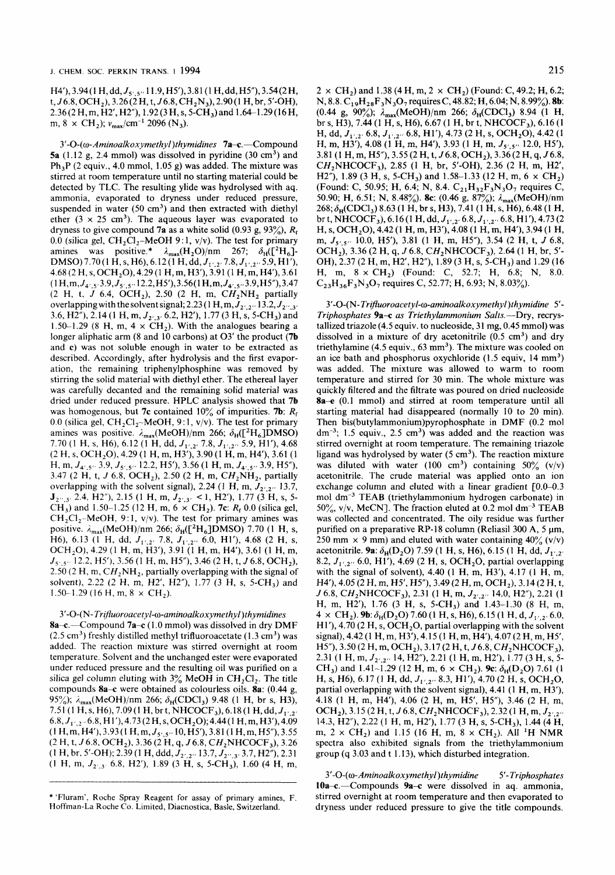H4'), 3.94(1 H, dd,  $J_{5',5''}$  11.9, H5'), 3.81(1 H, dd, H5"), 3.54(2 H, t,  $J6.8$ , OCH<sub>2</sub>), 3.26(2H, t,  $J6.8$ , CH<sub>2</sub>N<sub>3</sub>), 2.90(1H, br, 5'-OH), 2.36(2H,m,H2',H2"), **1.92(3H,s,5-CH3)and1.64-1.29(16H,**  m, 8  $\times$  CH<sub>2</sub>);  $v_{\text{max}}/\text{cm}^{-1}$  2096 (N<sub>3</sub>).

3'-O-(ω-Aminoalkoxymethyl)thymidines 7a-c.-Compound 5a  $(1.12 \text{ g}, 2.4 \text{ mmol})$  was dissolved in pyridine  $(30 \text{ cm}^3)$  and Ph,P (2 equiv., 4.0 mmol, 1.05 **g)** was added. The mixture was stirred at room temperature until no starting material could be detected by TLC. The resulting ylide was hydrolysed with aq. ammonia, evaporated to dryness under reduced pressure, suspended in water  $(50 \text{ cm}^3)$  and then extracted with diethyl ether  $(3 \times 25 \text{ cm}^3)$ . The aqueous layer was evaporated to dryness to give compound 7a as a white solid  $(0.93 \text{ g}, 93\%)$ ,  $R_f$ 0.0 (silica gel,  $CH_2Cl_2$ -MeOH 9:1, v/v). The test for primary amines was positive.\*  $\lambda_{\text{max}}(H_2O)/nm$  267;  $\delta_H([^2H_6]$ -DMSO) 7.70 (1 H, s, H6), 6.12 (1 H, dd,  $J_{1',2'}$ , 7.8,  $J_{1',2''}$  5.9, H1'), 4.68(2H,s,OCH20),4.29(1 **H,m,H3'),3.91(1H,m,H4'),3.61**   $(1 H, m, J_{4,5}, 3.9, J_{5,5}, 12.2, H5'), 3.56(1 H, m, J_{4,5}, 3.9, H5''), 3.47$  $(2 \text{ H}, \text{ t}, J \text{ 6.4}, \text{ OCH}_2)$ , 2.50  $(2 \text{ H}, \text{ m}, \text{ CH}_2\text{NH}_2)$  partially overlapping with the solvent signal; 2.23 (1 H, m,  $J_{2',2''}$  13.2,  $J_{2'',3''}$ 3.6, H2″), 2.14 (1 H, m,  $J_{2',3'}$ , 6.2, H2′), 1.77 (3 H, s, 5-CH<sub>3</sub>) and 1.50-1.29 (8 H, m, 4  $\times$  CH<sub>2</sub>). With the analogues bearing a longer aliphatic arm (8 and 10 carbons) at O3' the product (7b) and **c)** was not soluble enough in water to be extracted as described. Accordingly, after hydrolysis and the first evaporation, the remaining- triphenylphosphine was removed by stirring the solid material with diethyl ether. The ethereal layer was carefully decanted and the remaining solid material was dried under reduced pressure. HPLC analysis showed that 7b was homogenous, but 7c contained 10% of impurities. 7b: *R,*  0.0 (silica gel,  $CH_2Cl_2$ -MeOH, 9:1, v/v). The test for primary amines was positive.  $\lambda_{\text{max}}(\text{MeOH})/\text{nm}$  266;  $\delta_{\text{H}}([\text{PH}_6]\text{DMSO})$ 7.70 **(1 H, s, H6)**, 6.12 **(1 H, dd,**  $J_{1',2'}$ **, 7.8,**  $J_{1',2''}$ **, 5.9, H1'), 4.68** (2 H, **s,** OCH,O),4.29(1 H,m, H3'), 3.90(1 H, m, H4'), 3.61 **(1**  H, m,  $J_{4',5''}$  3.9,  $J_{5',5''}$  12.2, H5'), 3.56 (1 H, m,  $J_{4',5''}$  3.9, H5"), 3.47 (2 H, t, *J* 6.8, OCH<sub>2</sub>), 2.50 (2 H, m, CH<sub>2</sub>NH<sub>2</sub>, partially overlapping with the solvent signal), 2.24 (1 H, m,  $J_{2/2}$ , 13.7, **J**<sub>2</sub><sup>*m*</sup>,3<sup>*z*</sup> 2.4, H2<sup>*n*</sup>), 2.15 (1 H, m,  $J_{2^r,3^r}$  < 1, H2<sup>*r*</sup>), 1.77 (3 H, s, 5-CH<sub>3</sub>) and 1.50-1.25 (12 H, m,  $6 \times$  CH<sub>2</sub>). 7c: *R<sub>f</sub>* 0.0 (silica gel,  $CH_2Cl_2-MeOH$ , 9:1, v/v). The test for primary amines was positive.  $\lambda_{\text{max}}(\text{MeOH})/\text{nm}$  266;  $\delta_{\text{H}}([\text{^{2}H}_{6}]\text{DMSO})$  7.70 (1 H, s, H6), 6.13 (1 H, dd,  $J_{1',2'}$  7.8,  $J_{1',2''}$  6.0, H1'), 4.68 (2 H, s, OCH<sub>2</sub>O), 4.29 (1 H, m, H3'), 3.91 (1 H, m, H4'), 3.61 (1 H, m,  $J_{5',5''}$  12.2, H5'), 3.56 (1 H, m, H5"), 3.46 (2 H, t, J 6.8, OCH<sub>2</sub>), 2.50 (2 H, m,  $CH<sub>2</sub>NH<sub>2</sub>$ , partially overlapping with the signal of solvent), 2.22 (2 H, m, H2', H2"), 1.77 (3 H, s, 5-CH<sub>3</sub>) and 1.50–1.29 (16 H, m,  $8 \times CH_2$ ).

#### 3'-0-( N- *Trijluoroacetyl-o-aminoalkoxymethyl)thymidines*

8a-c.--Compound 7a-c (1.0 mmol) was dissolved in dry DMF  $(2.5 \text{ cm}^3)$  freshly distilled methyl trifluoroacetate  $(1.3 \text{ cm}^3)$  was added. The reaction mixture was stirred overnight at room temperature. Solvent and the unchanged ester were evaporated under reduced pressure and the resulting oil was purified on a silica gel column eluting with  $3\%$  MeOH in CH<sub>2</sub>Cl<sub>2</sub>. The title compounds 8a-c were obtained as colourless oils. 8a: (0.44 **g,**  95%);  $\lambda_{\text{max}}(MeOH)/nm$  266;  $\delta_H(CDCl_3)$  9.48 (1 H, br s, H3), 7.51 (1 H, s, H6), 7.09 (1 H, br t, NHCOCF<sub>3</sub>), 6.18 (1 H, dd, J<sub>1',2</sub>. 6.8, *J*<sub>1',2</sub>, 6.8, H1'), 4.73 (2 H, s, OCH<sub>2</sub>O); 4.44 (1 H, m, H3'), 4.09 (1 H,m,H4'),3.93(1 **H,m,Js~,,..10,H5'),3.81(1H,m,H5"),3.55**   $(2 H, t, J6.8, OCH<sub>2</sub>)$ , 3.36 $(2 H, q, J6.8, CH<sub>2</sub>)$ NHCOCF<sub>3</sub>), 3.26 (1 H, br, 5'-OH); 2.39 (1 H, ddd,  $J_{2',2''}$ , 13.7,  $J_{2'',3'}$ , 3.7, H2"), 2.31 (1 H, m,  $J_{2',3'}$  6.8, H2'), 1.89 (3 H, s, 5-CH<sub>3</sub>), 1.60 (4 H, m,

 $2 \times CH_2$ ) and 1.38 (4 H, m, 2  $\times CH_2$ ) (Found: C, 49.2; H, 6.2; N, 8.8. C<sub>19</sub>H<sub>28</sub>F<sub>3</sub>N<sub>3</sub>O<sub>7</sub> requires C, 48.82; H, 6.04; N, 8.99%). **8b**: (0.44 g, 90%);  $\lambda_{\text{max}}(\text{MeOH})/\text{nm}$  266;  $\delta_{\text{H}}(\text{CDCl}_3)$  8.94 (1 H, br s, H3), 7.44 (1 H, s, H6), 6.67 (1 H, br t, NHCOCF<sub>3</sub>), 6.16 (1 H, dd,  $J_{1',2'}$ , 6.8,  $J_{1',2''}$ , 6.8, H<sub>1</sub>'), 4.73 (2 H, s, OCH<sub>2</sub>O), 4.42 (1) H, m, H3<sup>'</sup>), 4.08 (1 H, m, H4'), 3.93 (1 H, m,  $J_{5',5''}$  12.0, H5'), **3.81(1H,m,H5"),3.55(2H,t,J6.8,OCH2),3.36(2H,q,J6.8,**   $CH<sub>2</sub>NHCOCF<sub>3</sub>$ ), 2.85 (1 H, br, 5'-OH), 2.36 (2 H, m, H2', H2"), 1.89 (3 H, s, 5-CH<sub>3</sub>) and 1.58-1.33 (12 H, m, 6  $\times$  CH<sub>2</sub>) (Found: C, 50.95; H, 6.4; N, 8.4.  $C_{21}H_{32}F_3N_3O_7$  requires C, 50.90; **H**, 6.51; N, 8.48%). **8c**: (0.46 g, 87%);  $\lambda_{\text{max}}$ (MeOH)/nm 268; d,(CDCI,) 8.63 **(1** H, br s, H3), 7.41 **(1** H, s, H6), 6.48 **(1** H, br t, NHCOCF<sub>3</sub>), 6.16 (1 H, dd,  $J_{1',2'}$ , 6.8,  $J_{1',2''}$ , 6.8, H1'), 4.73 (2 H, s, OCH<sub>2</sub>O), 4.42 (1 H, m, H3'), 4.08 (1 H, m, H4'), 3.94 (1 H, m, **J5,,5tt** 10.0, HS), 3.81 (1 H, m, H5"), 3.54 (2 H, t, *J* 6.8, OCH<sub>2</sub>), 3.36 (2 H, q, J 6.8, CH<sub>2</sub>NHCOCF<sub>3</sub>), 2.64 (1 H, br, 5'-OH), 2.37 (2 H, m, H2', H2"), 1.89 (3 H, s, 5-CH<sub>3</sub>) and 1.29 (16 H, m,  $8 \times CH_2$ ) (Found: C, 52.7; H, 6.8; N, 8.0.  $C_{23}H_{36}F_{3}N_{3}O_{7}$  requires C, 52.77; H, 6.93; N, 8.03%).

*3'-0-(N-TriJIuoroacetyl-o-aminoalkoxymethyl)thymidine 5'- Triphosphates* 9a-c *as Triethylammonium* Salts.-Dry, recrystallized triazole (4.5 equiv. to nucleoside, 31 mg, 0.45 mmol) was dissolved in a mixture of dry acetonitrile  $(0.5 \text{ cm}^3)$  and dry triethylamine  $(4.5 \text{ equiv.}, 63 \text{ mm}^3)$ . The mixture was cooled on an ice bath and phosphorus oxychloride  $(1.5 \text{ equiv}, 14 \text{ mm}^3)$ was added. The mixture was allowed to warm to room temperature and stirred for 30 min. The whole mixture was quickly filtered and the filtrate was poured on dried nucleoside 8a-e (0.1 mmol) and stirred at room temperature until all starting material had disappeared (normally 10 to 20 min). Then **bis(buty1ammonium)pyrophosphate** in DMF (0.2 mol  $dm^{-3}$ ; 1.5 equiv., 2.5 cm<sup>3</sup>) was added and the reaction was stirred overnight at room temperature. The remaining triazole ligand was hydrolysed by water *(5* cm3). The reaction mixture was diluted with water (100 cm<sup>3</sup>) containing  $50\%$  (v/v) acetonitrile. The crude material was applied onto an ion exchange column and eluted with a linear gradient  $[0.0-0.3]$ mol dm<sup>-3</sup> TEAB (triethylammonium hydrogen carbonate) in  $50\%$ , v/v, MeCN]. The fraction eluted at 0.2 mol dm<sup>-3</sup> TEAB was collected and concentrated. The oily residue was further purified on a preparative RP-18 column (Reliasil 300 A, *5* **pm,**  250 mm  $\times$  9 mm) and eluted with water containing 40% (v/v) acetonitrile. 9a:  $\delta_H(D_2O)$  7.59 (1 H, s, H6), 6.15 (1 H, dd,  $J_{1',2'}$ 8.2,  $J_{1',2''}$  6.0, H1'), 4.69 (2 H, s, OCH<sub>2</sub>O, partial overlapping with the signal of solvent), 4.40 (1 H, m, H3'), 4.17 (1 H, m, H4'), 4.05 (2 H, m, H5', H5"), 3.49 (2 H, m, OCH<sub>2</sub>), 3.14 (2 H, t,  $J$  6.8, CH<sub>2</sub>NHCOCF<sub>3</sub>), 2.31 (1 H, m,  $J_{2',2''}$  14.0, H2″), 2.21 (1 H, m, H2'), 1.76 (3 H, s, 5-CH3) and 1.43-1.30 (8 H, m,  $4 \times CH_2$ ). 9b:  $\delta_H(D_2O)$  7.60 (1 H, s, H6), 6.15 (1 H, d,  $J_{1',2'}$ , 6.0, H1'), 4.70 (2 H, s, OCH<sub>2</sub>O, partial overlapping with the solvent signal), 4.42 (1 H, m, H3'), 4.15 (1 H, m, H4'), 4.07 (2 H, m, H5',  $H5''$ ), 3.50 (2 H, m, OCH<sub>2</sub>), 3.17 (2 H, t, J 6.8, CH<sub>2</sub>NHCOCF<sub>3</sub>), 2.31 (1 H, m,  $J_{2',2''}$  14, H2"), 2.21 (1 H, m, H2'), 1.77 (3 H, s, 5-CH<sub>3</sub>) and 1.41-1.29 (12 H, m,  $6 \times$  CH<sub>2</sub>). **9c:**  $\delta_H(D_2O)$  7.61 (1) H, s, H6), 6.17 (1 H, dd, *J*<sub>1',2"</sub> 8.3, H1'), 4.70 (2 H, s, OCH<sub>2</sub>O, partial overlapping with the solvent signal), 4.41 (1 H, m, H3'), 4.18 (1 H, m, H47, 4.06 **(2** H, m, **HS',** HY), 3.46 (2 H, m, OCH<sub>2</sub>), 3.15 (2 H, t, *J* 6.8, CH<sub>2</sub>NHCOCF<sub>3</sub>), 2.32 (1 H, m, *J*<sub>2',2"</sub> 14.3, H2"), 2.22 (1 H, m, H2'), 1.77 (3 **H,** s, 5-CH3), 1.44 (4 H, m,  $2 \times CH_2$ ) and 1.15 (16 H, m,  $8 \times CH_2$ ). All <sup>1</sup>H NMR spectra also exhibited signals from the triethylammonium group (q 3.03 and t 1.13), which disturbed integration.

<sup>3</sup>' - 0-( *o- Am inoalk oxymethyl* ) *t hymidine 5* '- *Trip hosp ha tes*  10a-c.-Compounds 9a-c were dissolved in aq. ammonia, stirred overnight at room temperature and then evaporated to dryness under reduced pressure to give the title compounds.

<sup>\*</sup> 'Fluram', Roche Spray Reagent for assay of primary amines, F. Hoffman-La Roche Co. Limited, Diacnostica, Basle, Switzerland.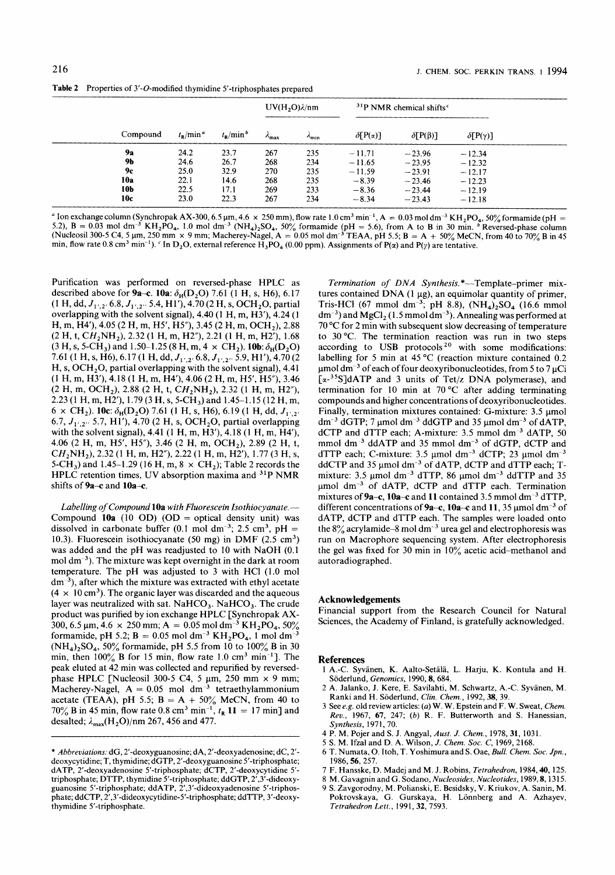|           |             | $t_{\rm R}/$ min $^b$ |                        | $UV(H, O)\lambda/nm$ | <sup>31</sup> P NMR chemical shifts <sup>c</sup> |                    |                     |  |
|-----------|-------------|-----------------------|------------------------|----------------------|--------------------------------------------------|--------------------|---------------------|--|
| Compound  | $t_p/min^a$ |                       | $\lambda_{\text{max}}$ | $\lambda_{\min}$     | $\delta[P(\alpha)]$                              | $\delta[P(\beta)]$ | $\delta[P(\gamma)]$ |  |
| <b>9a</b> | 24.2        | 23.7                  | 267                    | 235                  | $-11.71$                                         | $-23.96$           | $-12.34$            |  |
| 9b        | 24.6        | 26.7                  | 268                    | 234                  | $-11.65$                                         | $-23.95$           | $-12.32$            |  |
| 9с        | 25.0        | 32.9                  | 270                    | 235                  | $-11.59$                                         | $-23.91$           | $-12.17$            |  |
| 10a       | 22.1        | 14.6                  | 268                    | 235                  | $-8.39$                                          | $-23.46$           | $-12.23$            |  |
| 10b       | 22.5        | 17.1                  | 269                    | 233                  | $-8.36$                                          | $-23.44$           | $-12.19$            |  |
| 10c       | 23.0        | 22.3                  | 267                    | 234                  | $-8.34$                                          | $-23.43$           | $-12.18$            |  |

**Table** 2 Properties of 3'-O-modified thymidine 5'-triphosphates prepared

Ion exchange column (Synchropak AX-300, 6.5 µm, 4.6  $\times$  250 mm), flow rate 1.0 cm<sup>3</sup> min<sup>-1</sup>, A = 0.03 mol dm<sup>-3</sup> KH,PO<sub>4</sub>, 50% formamide (pH = 5.2),  $B = 0.03$  mol dm<sup>-3</sup> KH<sub>2</sub>PO<sub>4</sub>, 1.0 mol dm<sup>-3</sup> (NH<sub>4</sub>)<sub>2</sub>SO<sub>4</sub>, 50% formamide (pH = 5.6), from A to B in 30 min. <sup>b</sup> Reversed-phase column (Nucleosil 300-5 C4, 5 µm, 250 mm × 9 mm; Macherey-Nagel, A = 0.05 mol dm<sup>-</sup> min, flow rate 0.8 cm<sup>3</sup> min<sup>-1</sup>). <sup>c</sup> In D<sub>2</sub>O, external reference  $H_3PO_4$  (0.00 ppm). Assignments of P( $\alpha$ ) and P( $\gamma$ ) are tentative.

Purification was performed on reversed-phase HPLC as described above for **9a-c.** 10a:  $\delta_H(D_2O)$  7.61 (1 H, s, H6), 6.17 (1 H, dd, *J*<sub>1',2'</sub> 6.8, *J*<sub>1',2"</sub> 5.4, H1'), 4.70 (2 H, s, OCH<sub>2</sub>O, partial overlapping with the solvent signal), 4.40 (1 H, m, H3'), 4.24 (1 H, m, H4'), 4.05 (2 H, m, H5', H5"), 3.45 (2 H, m, OCH<sub>2</sub>), 2.88  $(2 H, t, CH<sub>2</sub>NH<sub>2</sub>), 2.32 (1 H, m, H2<sup>2</sup>), 2.21 (1 H, m, H2<sup>2</sup>), 1.68$  $(3 H, s, 5-CH_3)$  and 1.50–1.25 (8 H, m, 4  $\times$  CH<sub>2</sub>). **10b**:  $\delta_H(D_2O)$ 7.61 (1 H, s, H6), 6.17 (1 H, dd, *J<sub>1',2'</sub>* 6.8, *J<sub>1',2''</sub>* 5.9, H1'), 4.70 (2 H, s, OCH<sub>2</sub>O, partial overlapping with the solvent signal), 4.41 (1 H, m, H3'), 4.18 (1 H, m, H4'), 4.06 (2 H, m, H5', H5"), 3.46  $(2 H, m, OCH<sub>2</sub>), 2.88 (2 H, t, CH<sub>2</sub>NH<sub>2</sub>), 2.32 (1 H, m, H2<sup>′</sup>),$ **2.23(1H,m,H2'),1.79(3H,s,5-CH3)and1.45-1.15(12H,m,**   $6 \times CH_2$ ). **10c**:  $\delta_H(D_2O)$  7.61 (1 H, s, H6), 6.19 (1 H, dd,  $J_1$ ,  $\gamma$ 6.7, *J*<sub>1',2"</sub> 5.7, H1'), 4.70 (2 H, s, OCH<sub>2</sub>O, partial overlapping with the solvent signal), 4.41 (1 H, m, H3'), 4.18 **(1** H, m, H4'), 4.06 (2 H, m, H5', H5"), 3.46 (2 H, m, OCH<sub>2</sub>), 2.89 (2 H, t,  $CH<sub>2</sub>NH<sub>2</sub>$ ), 2.32 (1 H, m, H2"), 2.22 (1 H, m, H2'), 1.77 (3 H, s, 5-CH<sub>3</sub>) and 1.45-1.29 (16 H, m,  $8 \times$  CH<sub>2</sub>); Table 2 records the HPLC retention times, **UV** absorption maxima and 31P NMR shifts of **9a-c** and **10a-c.** 

*Labelling of Compound* **1Oa** *with Fluorescein Isothiocyanate.-*  Compound  $10a$  (10 OD) (OD = optical density unit) was dissolved in carbonate buffer (0.1 mol dm<sup>-3</sup>; 2.5 cm<sup>3</sup>, pH = 10.3). Fluorescein isothiocyanate (50 mg) in DMF (2.5 cm3) was added and the pH was readjusted to 10 with NaOH (0.1 mol dm<sup>-3</sup>). The mixture was kept overnight in the dark at room temperature. The pH was adjusted to 3 with HCI (1.0 mol  $dm^{-3}$ ), after which the mixture was extracted with ethyl acetate  $(4 \times 10 \text{ cm}^3)$ . The organic layer was discarded and the aqueous layer was neutralized with sat.  $NaHCO<sub>3</sub>$ .  $NaHCO<sub>3</sub>$ . The crude product was purified by ion exchange HPLC [Synchropak AX-300, 6.5  $\mu$ m, 4.6  $\times$  250 mm; A = 0.05 mol dm<sup>-3</sup> KH<sub>2</sub>PO<sub>4</sub>, 50% formamide, pH 5.2;  $B = 0.05$  mol dm<sup>-3</sup> KH<sub>2</sub>PO<sub>4</sub>, 1 mol dm<sup>-3</sup> (NH,),SO,, 50% formamide, pH *5.5* from 10 to 100% **B** in 30 min, then  $100\%$  B for 15 min, flow rate 1.0 cm<sup>3</sup> min<sup>-1</sup>]. The peak eluted at 42 min was collected and repurified by reversedphase HPLC [Nucleosil 300-5 C4, *5* pm, 250 mm x 9 mm; Macherey-Nagel,  $A = 0.05$  mol dm<sup>-3</sup> tetraethylammonium acetate (TEAA), pH 5.5;  $B = A + 50\%$  MeCN, from 40 to 70% **B** in 45 min, flow rate 0.8 cm3 min-', *t,* **11** = 17 min] and desalted;  $\lambda_{\text{max}}(H_2O)/nm$  267, 456 and 477.

*Termination of DNA Synthesis.* \*-Template-primer mixtures contained DNA  $(1 \mu g)$ , an equimolar quantity of primer, Tris-HCl (67 mmol dm<sup>-3</sup>; pH 8.8),  $(NH_4)_2SO_4$  (16.6 mmol  $dm^{-3}$ ) and  $MgCl<sub>2</sub>$  (1.5 mmol dm<sup>-3</sup>). Annealing was performed at 70 "C for 2 min with subsequent slow decreasing of temperature to 30 "C. The termination reaction was run in two steps according to **USB** protocols **2o** with some modifications: labelling for 5 min at 45 °C (reaction mixture contained 0.2  $\mu$ mol dm<sup>-3</sup> of each of four deoxyribonucleotides, from 5 to 7  $\mu$ Ci  $[\alpha^{-3.5}S]dATP$  and 3 units of Tet/z DNA polymerase), and termination for 10 min at 70 °C after adding terminating compounds and higher concentrations of deoxyribonucleotides. Finally, termination mixtures contained: G-mixture: 3.5 µmol  $dm^{-3}$  dGTP; 7 µmol dm<sup>-3</sup> ddGTP and 35 µmol dm<sup>-3</sup> of dATP, dCTP and dTTP each; A-mixture: 3.5 mmol dm<sup>-3</sup> dATP, 50 mmol dm<sup>-3</sup> ddATP and 35 mmol dm<sup>-3</sup> of dGTP, dCTP and dTTP each; C-mixture: 3.5  $\mu$ mol dm<sup>-3</sup> dCTP; 23  $\mu$ mol dm<sup>-3</sup> ddCTP and 35  $\mu$ mol dm<sup>-3</sup> of dATP, dCTP and dTTP each; Tmixture: 3.5  $\mu$ mol dm<sup>-3</sup> dTTP, 86  $\mu$ mol dm<sup>-3</sup> ddTTP and 35  $\mu$ mol dm<sup>-3</sup> of dATP, dCTP and dTTP each. Termination mixtures of  $9a-c$ ,  $10a-c$  and 11 contained 3.5 mmol dm<sup>-3</sup> dTTP, different concentrations of  $9a-c$ ,  $10a-c$  and 11, 35  $\mu$ mol dm<sup>-3</sup> of dATP, dCTP and dTTP each. The samples were loaded onto the  $8\%$  acrylamide-8 mol dm<sup>-3</sup> urea gel and electrophoresis was run on Macrophore sequencing system. After electrophoresis the gel was fixed for 30 min in  $10\%$  acetic acid-methanol and autoradiographed.

## **Acknowledgements**

Financial support from the Research Council for Natural Sciences, the Academy of Finland, is gratefully acknowledged.

### **References**

- 1 A.-C. Syvanen, K. Aalto-Setala, L. Harju, K. Kontula and H. Soderlund, *Genomics,* 1990,8,684.
- 2 A. Jalanko, J. Kere, E. Savilahti, M. Schwartz, A.-C. Syvanen, M. Ranki and H. Soderlund, *Clin. Chem.,* 1992,38,39.
- 3 See *e.g.* **old** review articles: *(a)* W. W. Epstein and F. W. Sweat, *Chem. Rev.,* 1967, 67, 247; (b) R. F. Butterworth and S. Hanessian, *Synthesis*, 1971, 70.
- 4 P. M. Pojer and S. J. Angyal, *Aust.* J. *Chem.,* 1978,31, 1031.
- *5* S. M. Ifzal and D. A. Wilson, *J. Chem.* **SOC.** *C,* 1969,2168.
- 6 T. Numata, O. Itoh, T. Yoshimura and S. Oae, Bull. Chem. Soc. Jpn., 1986,56,257.
- 7 F. Hansske, D. Madej and M. J. Robins, *Tetrahedron,* 1984,40, 125.
- *8* M. Gavagnin and G. Sodano, *Nucleosides, Nucleotides,* 1989,8,13 15.
- 9 S. Zavgorodny, M. Polianski, E. Besidsky, V. Kriukov, A. Sanin, M. Pokrovskaya, G. Gurskaya, H. Lönnberg and A. Azhayev, *Tetrahedron Lett.,* 1991,32, 1593.

<sup>\*</sup> *Abbreviations:* dG, 2'-deoxyguanosine; dA, 2'-deoxyadenosine; dC, 2' deoxycytidine; T, thymidine; dGTP, 2'-deoxyguanosine 5'-triphosphate; dATP, 2'-deoxyadenosine 5'-triphosphate; dCTP, 2'-deoxycytidine *5'*  triphosphate; DTTP, thymidine 5'-triphosphate; ddGTP, 2',3'-dideoxyguanosine 5'-triphosphate; ddATP, 2',3'-dideoxyadenosine 5'-triphosphate; ddCTP, **2',3'-dideoxycytidine-5'-triphosphate;** ddTTP, 3'-deoxythymidine 5'-triphosphate.